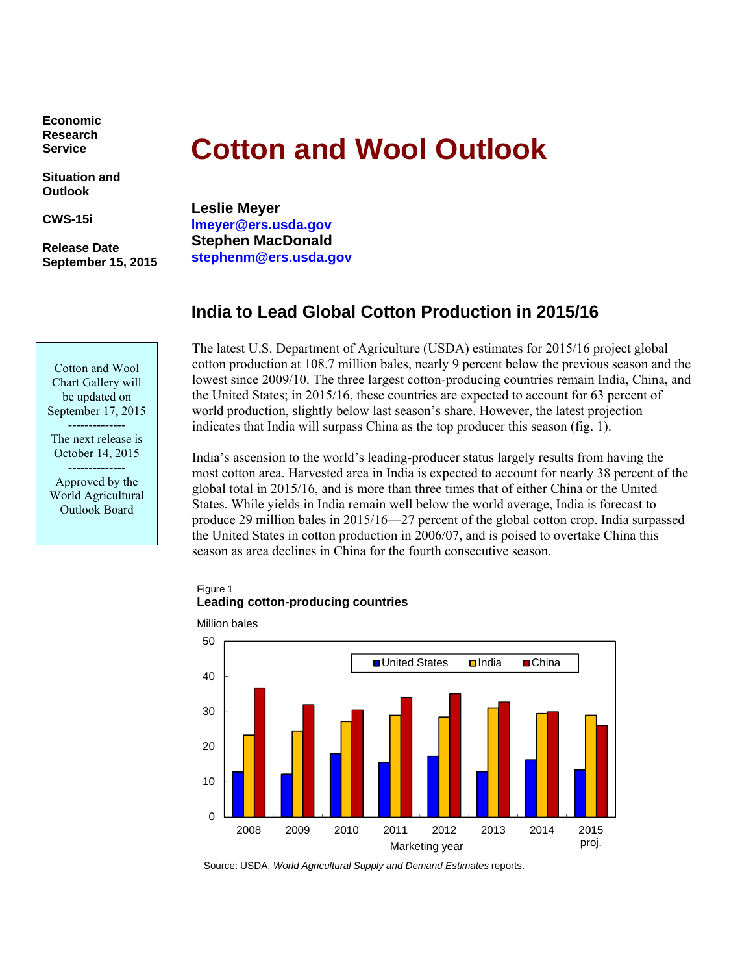**Economic Research Service** 

**Situation and Outlook** 

**CWS-15i** 

**Release Date September 15, 2015** 

# **Cotton and Wool Outlook**

**Leslie Meyer lmeyer@ers.usda.gov Stephen MacDonald stephenm@ers.usda.gov** 

# **India to Lead Global Cotton Production in 2015/16**

The latest U.S. Department of Agriculture (USDA) estimates for 2015/16 project global cotton production at 108.7 million bales, nearly 9 percent below the previous season and the lowest since 2009/10. The three largest cotton-producing countries remain India, China, and the United States; in 2015/16, these countries are expected to account for 63 percent of world production, slightly below last season's share. However, the latest projection indicates that India will surpass China as the top producer this season (fig. 1).

India's ascension to the world's leading-producer status largely results from having the most cotton area. Harvested area in India is expected to account for nearly 38 percent of the global total in 2015/16, and is more than three times that of either China or the United States. While yields in India remain well below the world average, India is forecast to produce 29 million bales in 2015/16—27 percent of the global cotton crop. India surpassed the United States in cotton production in 2006/07, and is poised to overtake China this season as area declines in China for the fourth consecutive season.

## Figure 1 **Leading cotton-producing countries**



Source: USDA, *World Agricultural Supply and Demand Estimates* reports.

Cotton and Wool Chart Gallery will be updated on September 17, 2015 --------------

The next release is October 14, 2015

-------------- Approved by the World Agricultural Outlook Board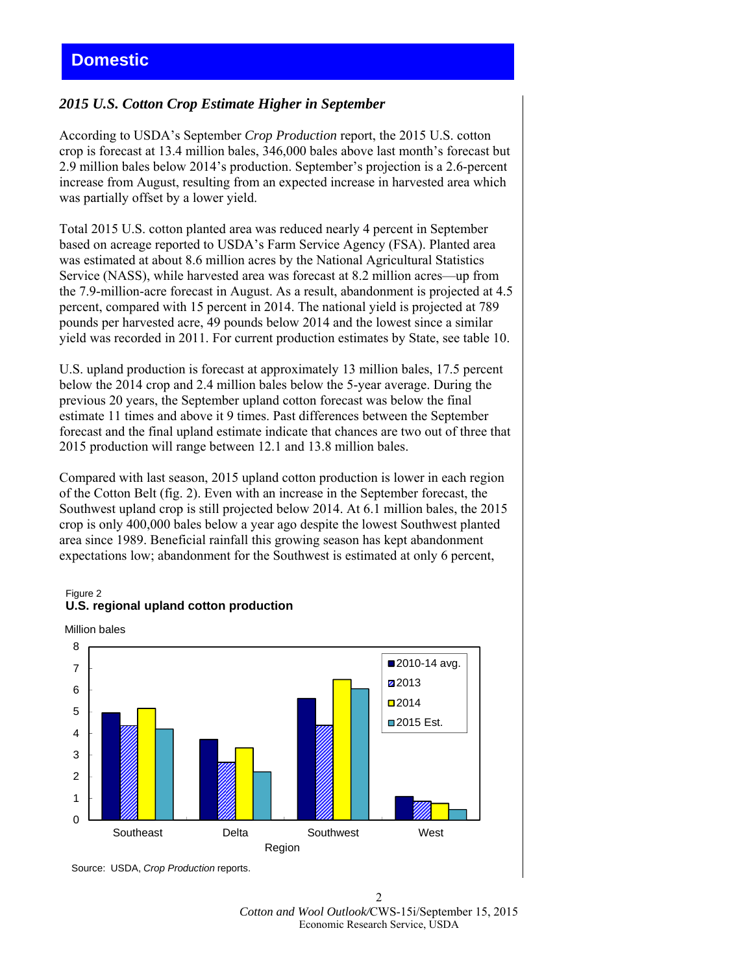# *2015 U.S. Cotton Crop Estimate Higher in September*

According to USDA's September *Crop Production* report, the 2015 U.S. cotton crop is forecast at 13.4 million bales, 346,000 bales above last month's forecast but 2.9 million bales below 2014's production. September's projection is a 2.6-percent increase from August, resulting from an expected increase in harvested area which was partially offset by a lower yield.

Total 2015 U.S. cotton planted area was reduced nearly 4 percent in September based on acreage reported to USDA's Farm Service Agency (FSA). Planted area was estimated at about 8.6 million acres by the National Agricultural Statistics Service (NASS), while harvested area was forecast at 8.2 million acres—up from the 7.9-million-acre forecast in August. As a result, abandonment is projected at 4.5 percent, compared with 15 percent in 2014. The national yield is projected at 789 pounds per harvested acre, 49 pounds below 2014 and the lowest since a similar yield was recorded in 2011. For current production estimates by State, see table 10.

U.S. upland production is forecast at approximately 13 million bales, 17.5 percent below the 2014 crop and 2.4 million bales below the 5-year average. During the previous 20 years, the September upland cotton forecast was below the final estimate 11 times and above it 9 times. Past differences between the September forecast and the final upland estimate indicate that chances are two out of three that 2015 production will range between 12.1 and 13.8 million bales.

Compared with last season, 2015 upland cotton production is lower in each region of the Cotton Belt (fig. 2). Even with an increase in the September forecast, the Southwest upland crop is still projected below 2014. At 6.1 million bales, the 2015 crop is only 400,000 bales below a year ago despite the lowest Southwest planted area since 1989. Beneficial rainfall this growing season has kept abandonment expectations low; abandonment for the Southwest is estimated at only 6 percent,

#### Figure 2 **U.S. regional upland cotton production**





Source: USDA, *Crop Production* reports.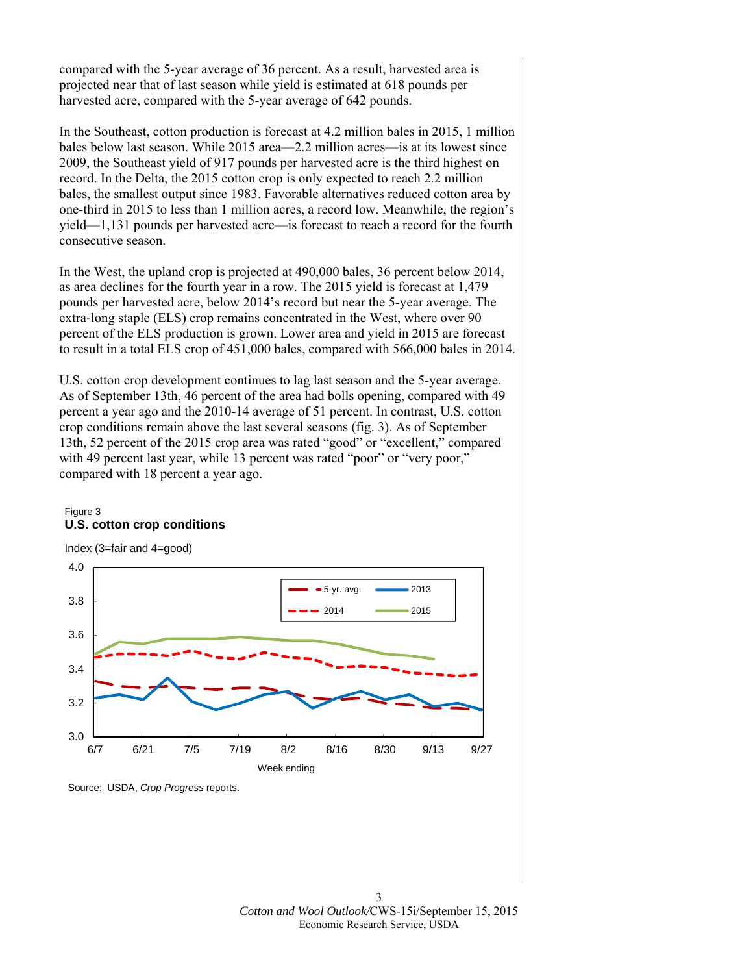compared with the 5-year average of 36 percent. As a result, harvested area is projected near that of last season while yield is estimated at 618 pounds per harvested acre, compared with the 5-year average of 642 pounds.

In the Southeast, cotton production is forecast at 4.2 million bales in 2015, 1 million bales below last season. While 2015 area—2.2 million acres—is at its lowest since 2009, the Southeast yield of 917 pounds per harvested acre is the third highest on record. In the Delta, the 2015 cotton crop is only expected to reach 2.2 million bales, the smallest output since 1983. Favorable alternatives reduced cotton area by one-third in 2015 to less than 1 million acres, a record low. Meanwhile, the region's yield—1,131 pounds per harvested acre—is forecast to reach a record for the fourth consecutive season.

In the West, the upland crop is projected at 490,000 bales, 36 percent below 2014, as area declines for the fourth year in a row. The 2015 yield is forecast at 1,479 pounds per harvested acre, below 2014's record but near the 5-year average. The extra-long staple (ELS) crop remains concentrated in the West, where over 90 percent of the ELS production is grown. Lower area and yield in 2015 are forecast to result in a total ELS crop of 451,000 bales, compared with 566,000 bales in 2014.

U.S. cotton crop development continues to lag last season and the 5-year average. As of September 13th, 46 percent of the area had bolls opening, compared with 49 percent a year ago and the 2010-14 average of 51 percent. In contrast, U.S. cotton crop conditions remain above the last several seasons (fig. 3). As of September 13th, 52 percent of the 2015 crop area was rated "good" or "excellent," compared with 49 percent last year, while 13 percent was rated "poor" or "very poor," compared with 18 percent a year ago.

## Figure 3 **U.S. cotton crop conditions**

Index (3=fair and 4=good)



Source: USDA, *Crop Progress* reports.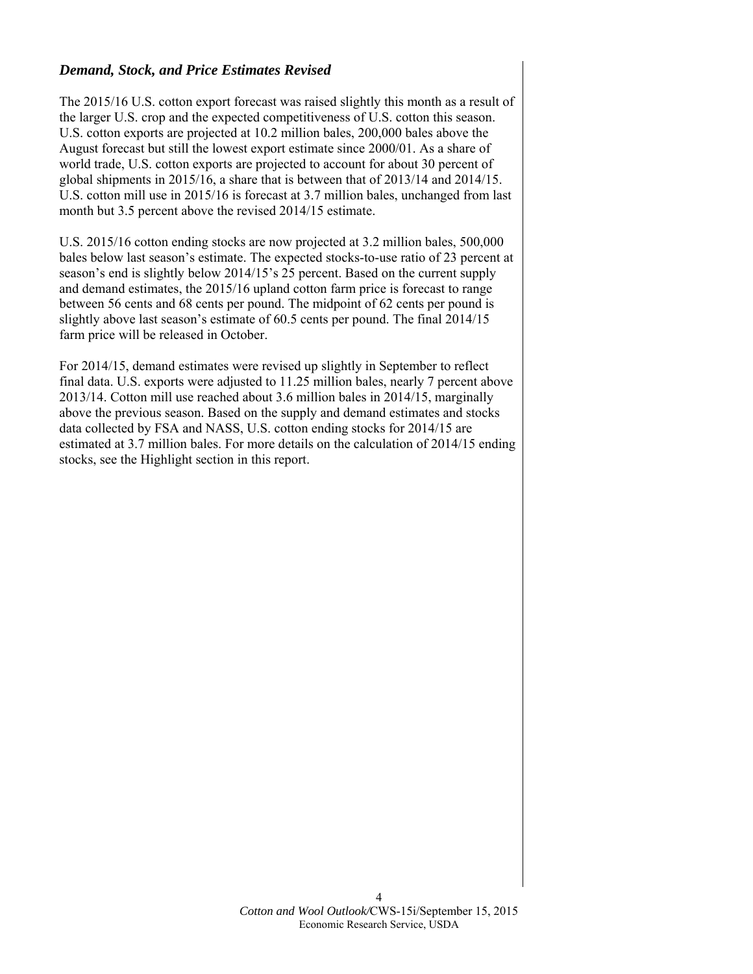# *Demand, Stock, and Price Estimates Revised*

The 2015/16 U.S. cotton export forecast was raised slightly this month as a result of the larger U.S. crop and the expected competitiveness of U.S. cotton this season. U.S. cotton exports are projected at 10.2 million bales, 200,000 bales above the August forecast but still the lowest export estimate since 2000/01. As a share of world trade, U.S. cotton exports are projected to account for about 30 percent of global shipments in 2015/16, a share that is between that of 2013/14 and 2014/15. U.S. cotton mill use in 2015/16 is forecast at 3.7 million bales, unchanged from last month but 3.5 percent above the revised 2014/15 estimate.

U.S. 2015/16 cotton ending stocks are now projected at 3.2 million bales, 500,000 bales below last season's estimate. The expected stocks-to-use ratio of 23 percent at season's end is slightly below 2014/15's 25 percent. Based on the current supply and demand estimates, the 2015/16 upland cotton farm price is forecast to range between 56 cents and 68 cents per pound. The midpoint of 62 cents per pound is slightly above last season's estimate of 60.5 cents per pound. The final 2014/15 farm price will be released in October.

For 2014/15, demand estimates were revised up slightly in September to reflect final data. U.S. exports were adjusted to 11.25 million bales, nearly 7 percent above 2013/14. Cotton mill use reached about 3.6 million bales in 2014/15, marginally above the previous season. Based on the supply and demand estimates and stocks data collected by FSA and NASS, U.S. cotton ending stocks for 2014/15 are estimated at 3.7 million bales. For more details on the calculation of 2014/15 ending stocks, see the Highlight section in this report.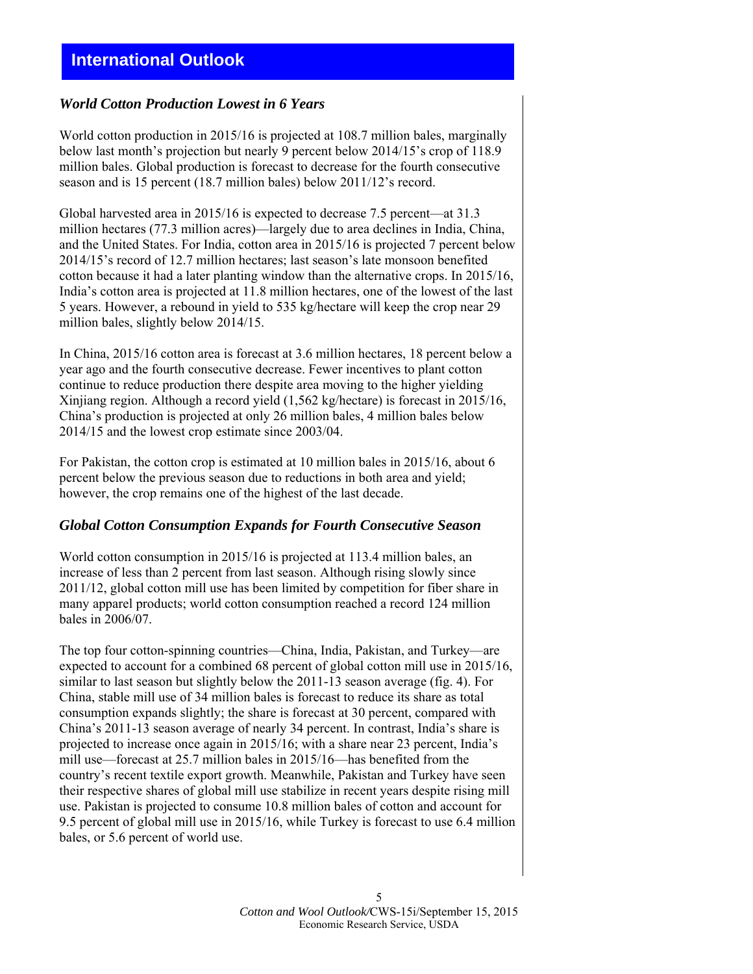# **International Outlook**

# *World Cotton Production Lowest in 6 Years*

World cotton production in 2015/16 is projected at 108.7 million bales, marginally below last month's projection but nearly 9 percent below 2014/15's crop of 118.9 million bales. Global production is forecast to decrease for the fourth consecutive season and is 15 percent (18.7 million bales) below 2011/12's record.

Global harvested area in 2015/16 is expected to decrease 7.5 percent—at 31.3 million hectares (77.3 million acres)—largely due to area declines in India, China, and the United States. For India, cotton area in 2015/16 is projected 7 percent below 2014/15's record of 12.7 million hectares; last season's late monsoon benefited cotton because it had a later planting window than the alternative crops. In 2015/16, India's cotton area is projected at 11.8 million hectares, one of the lowest of the last 5 years. However, a rebound in yield to 535 kg/hectare will keep the crop near 29 million bales, slightly below 2014/15.

In China, 2015/16 cotton area is forecast at 3.6 million hectares, 18 percent below a year ago and the fourth consecutive decrease. Fewer incentives to plant cotton continue to reduce production there despite area moving to the higher yielding Xinjiang region. Although a record yield (1,562 kg/hectare) is forecast in 2015/16, China's production is projected at only 26 million bales, 4 million bales below 2014/15 and the lowest crop estimate since 2003/04.

For Pakistan, the cotton crop is estimated at 10 million bales in 2015/16, about 6 percent below the previous season due to reductions in both area and yield; however, the crop remains one of the highest of the last decade.

## *Global Cotton Consumption Expands for Fourth Consecutive Season*

World cotton consumption in 2015/16 is projected at 113.4 million bales, an increase of less than 2 percent from last season. Although rising slowly since 2011/12, global cotton mill use has been limited by competition for fiber share in many apparel products; world cotton consumption reached a record 124 million bales in 2006/07.

The top four cotton-spinning countries—China, India, Pakistan, and Turkey—are expected to account for a combined 68 percent of global cotton mill use in 2015/16, similar to last season but slightly below the 2011-13 season average (fig. 4). For China, stable mill use of 34 million bales is forecast to reduce its share as total consumption expands slightly; the share is forecast at 30 percent, compared with China's 2011-13 season average of nearly 34 percent. In contrast, India's share is projected to increase once again in 2015/16; with a share near 23 percent, India's mill use—forecast at 25.7 million bales in 2015/16—has benefited from the country's recent textile export growth. Meanwhile, Pakistan and Turkey have seen their respective shares of global mill use stabilize in recent years despite rising mill use. Pakistan is projected to consume 10.8 million bales of cotton and account for 9.5 percent of global mill use in 2015/16, while Turkey is forecast to use 6.4 million bales, or 5.6 percent of world use.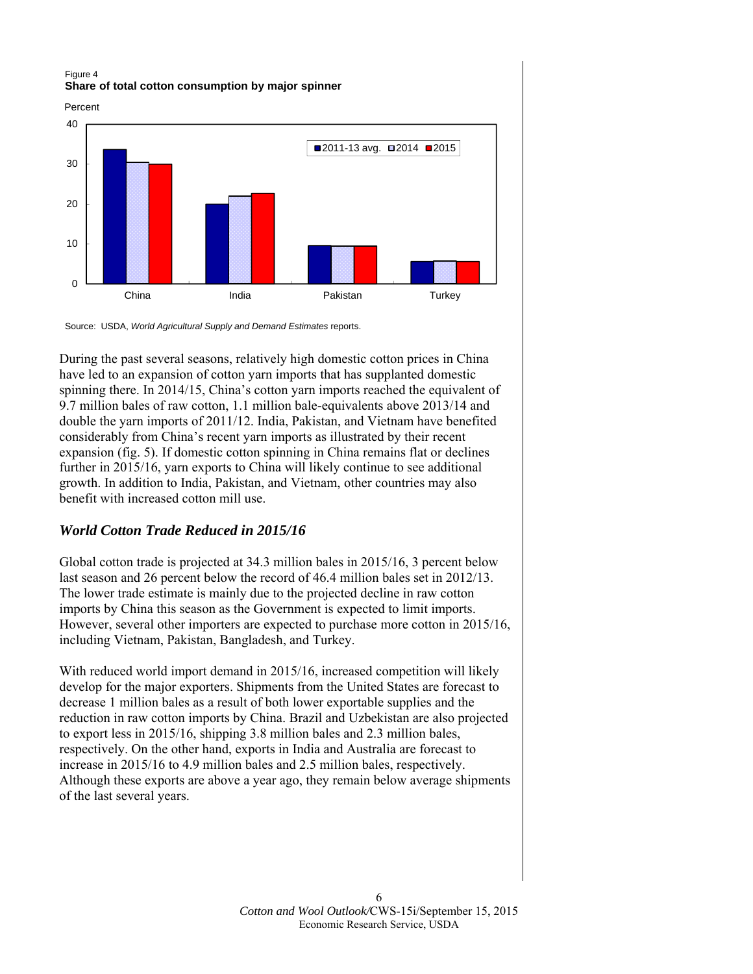#### Figure 4 **Share of total cotton consumption by major spinner**

Percent



Source: USDA, *World Agricultural Supply and Demand Estimates* reports.

During the past several seasons, relatively high domestic cotton prices in China have led to an expansion of cotton yarn imports that has supplanted domestic spinning there. In 2014/15, China's cotton yarn imports reached the equivalent of 9.7 million bales of raw cotton, 1.1 million bale-equivalents above 2013/14 and double the yarn imports of 2011/12. India, Pakistan, and Vietnam have benefited considerably from China's recent yarn imports as illustrated by their recent expansion (fig. 5). If domestic cotton spinning in China remains flat or declines further in 2015/16, yarn exports to China will likely continue to see additional growth. In addition to India, Pakistan, and Vietnam, other countries may also benefit with increased cotton mill use.

# *World Cotton Trade Reduced in 2015/16*

Global cotton trade is projected at 34.3 million bales in 2015/16, 3 percent below last season and 26 percent below the record of 46.4 million bales set in 2012/13. The lower trade estimate is mainly due to the projected decline in raw cotton imports by China this season as the Government is expected to limit imports. However, several other importers are expected to purchase more cotton in 2015/16, including Vietnam, Pakistan, Bangladesh, and Turkey.

With reduced world import demand in 2015/16, increased competition will likely develop for the major exporters. Shipments from the United States are forecast to decrease 1 million bales as a result of both lower exportable supplies and the reduction in raw cotton imports by China. Brazil and Uzbekistan are also projected to export less in 2015/16, shipping 3.8 million bales and 2.3 million bales, respectively. On the other hand, exports in India and Australia are forecast to increase in 2015/16 to 4.9 million bales and 2.5 million bales, respectively. Although these exports are above a year ago, they remain below average shipments of the last several years.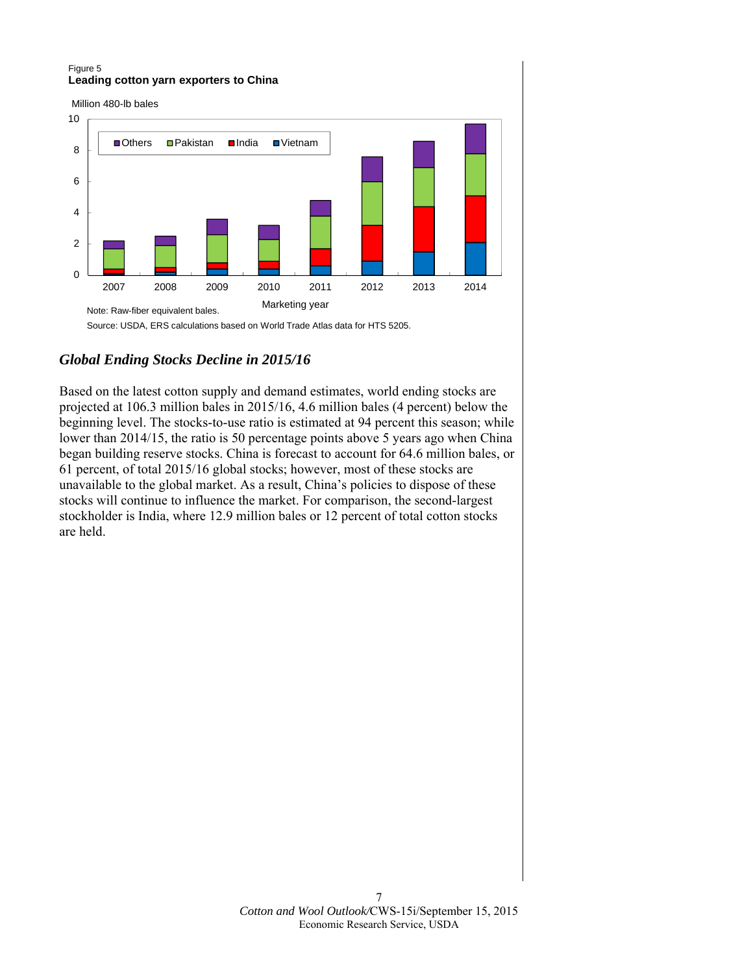#### Figure 5 **Leading cotton yarn exporters to China**

Million 480-lb bales



Source: USDA, ERS calculations based on World Trade Atlas data for HTS 5205.

# *Global Ending Stocks Decline in 2015/16*

Based on the latest cotton supply and demand estimates, world ending stocks are projected at 106.3 million bales in 2015/16, 4.6 million bales (4 percent) below the beginning level. The stocks-to-use ratio is estimated at 94 percent this season; while lower than 2014/15, the ratio is 50 percentage points above 5 years ago when China began building reserve stocks. China is forecast to account for 64.6 million bales, or 61 percent, of total 2015/16 global stocks; however, most of these stocks are unavailable to the global market. As a result, China's policies to dispose of these stocks will continue to influence the market. For comparison, the second-largest stockholder is India, where 12.9 million bales or 12 percent of total cotton stocks are held.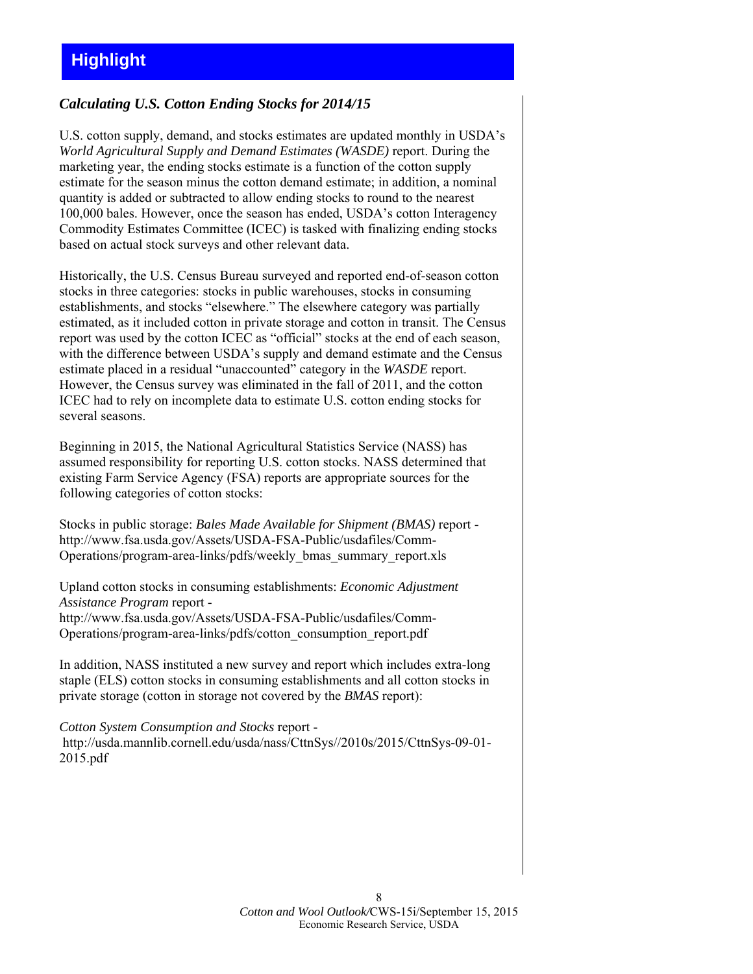# *Calculating U.S. Cotton Ending Stocks for 2014/15*

U.S. cotton supply, demand, and stocks estimates are updated monthly in USDA's *World Agricultural Supply and Demand Estimates (WASDE)* report. During the marketing year, the ending stocks estimate is a function of the cotton supply estimate for the season minus the cotton demand estimate; in addition, a nominal quantity is added or subtracted to allow ending stocks to round to the nearest 100,000 bales. However, once the season has ended, USDA's cotton Interagency Commodity Estimates Committee (ICEC) is tasked with finalizing ending stocks based on actual stock surveys and other relevant data.

Historically, the U.S. Census Bureau surveyed and reported end-of-season cotton stocks in three categories: stocks in public warehouses, stocks in consuming establishments, and stocks "elsewhere." The elsewhere category was partially estimated, as it included cotton in private storage and cotton in transit. The Census report was used by the cotton ICEC as "official" stocks at the end of each season, with the difference between USDA's supply and demand estimate and the Census estimate placed in a residual "unaccounted" category in the *WASDE* report. However, the Census survey was eliminated in the fall of 2011, and the cotton ICEC had to rely on incomplete data to estimate U.S. cotton ending stocks for several seasons.

Beginning in 2015, the National Agricultural Statistics Service (NASS) has assumed responsibility for reporting U.S. cotton stocks. NASS determined that existing Farm Service Agency (FSA) reports are appropriate sources for the following categories of cotton stocks:

Stocks in public storage: *Bales Made Available for Shipment (BMAS)* report http://www.fsa.usda.gov/Assets/USDA-FSA-Public/usdafiles/Comm-Operations/program-area-links/pdfs/weekly\_bmas\_summary\_report.xls

Upland cotton stocks in consuming establishments: *Economic Adjustment Assistance Program* report http://www.fsa.usda.gov/Assets/USDA-FSA-Public/usdafiles/Comm-Operations/program-area-links/pdfs/cotton\_consumption\_report.pdf

In addition, NASS instituted a new survey and report which includes extra-long staple (ELS) cotton stocks in consuming establishments and all cotton stocks in private storage (cotton in storage not covered by the *BMAS* report):

*Cotton System Consumption and Stocks* report http://usda.mannlib.cornell.edu/usda/nass/CttnSys//2010s/2015/CttnSys-09-01- 2015.pdf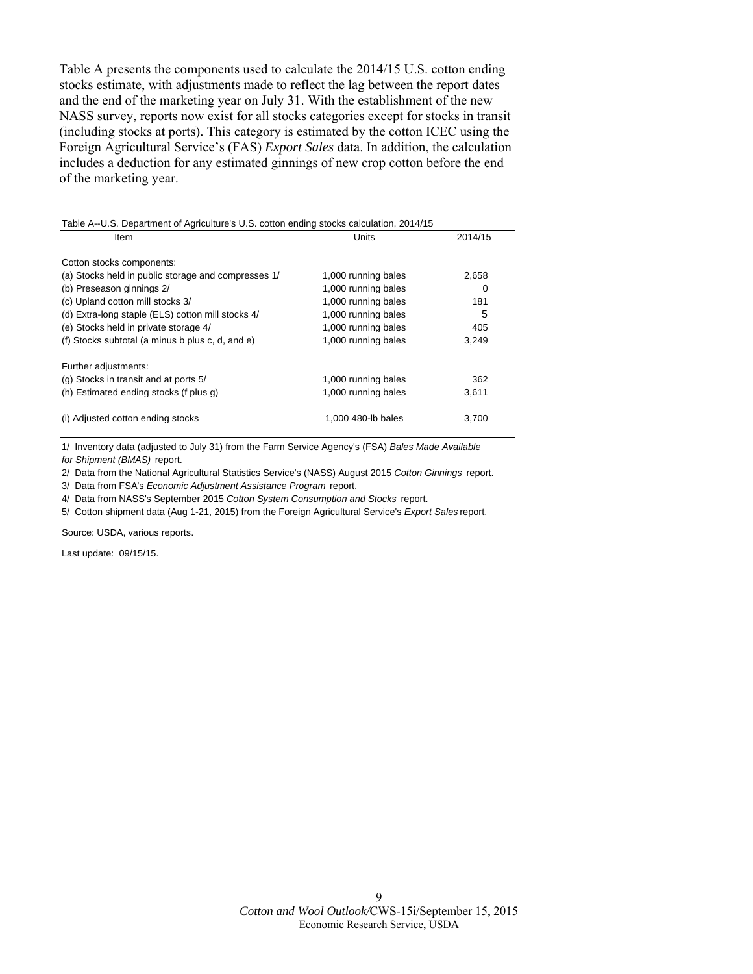Table A presents the components used to calculate the 2014/15 U.S. cotton ending stocks estimate, with adjustments made to reflect the lag between the report dates and the end of the marketing year on July 31. With the establishment of the new NASS survey, reports now exist for all stocks categories except for stocks in transit (including stocks at ports). This category is estimated by the cotton ICEC using the Foreign Agricultural Service's (FAS) *Export Sales* data. In addition, the calculation includes a deduction for any estimated ginnings of new crop cotton before the end of the marketing year.

| Item                                                | Units               | 2014/15 |
|-----------------------------------------------------|---------------------|---------|
|                                                     |                     |         |
| Cotton stocks components:                           |                     |         |
| (a) Stocks held in public storage and compresses 1/ | 1,000 running bales | 2,658   |
| (b) Preseason ginnings 2/                           | 1,000 running bales | 0       |
| (c) Upland cotton mill stocks 3/                    | 1,000 running bales | 181     |
| (d) Extra-long staple (ELS) cotton mill stocks 4/   | 1,000 running bales | 5       |
| (e) Stocks held in private storage 4/               | 1,000 running bales | 405     |
| (f) Stocks subtotal (a minus b plus c, d, and e)    | 1,000 running bales | 3,249   |
| Further adjustments:                                |                     |         |
| (g) Stocks in transit and at ports 5/               | 1,000 running bales | 362     |
| (h) Estimated ending stocks (f plus g)              | 1,000 running bales | 3,611   |
| (i) Adjusted cotton ending stocks                   | 1.000 480-lb bales  | 3.700   |

1/ Inventory data (adjusted to July 31) from the Farm Service Agency's (FSA) *Bales Made Available for Shipment (BMAS)* report.

2/ Data from the National Agricultural Statistics Service's (NASS) August 2015 *Cotton Ginnings* report.

3/ Data from FSA's *Economic Adjustment Assistance Program* report.

4/ Data from NASS's September 2015 *Cotton System Consumption and Stocks* report.

5/ Cotton shipment data (Aug 1-21, 2015) from the Foreign Agricultural Service's *Export Sales* report.

Source: USDA, various reports.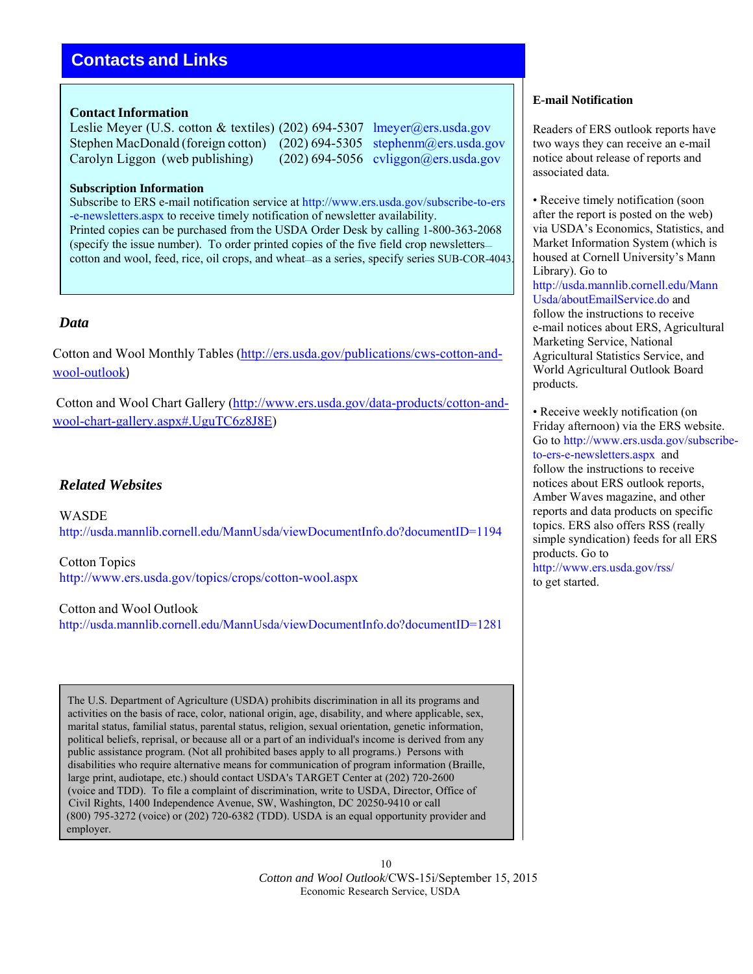# **Contacts and Links**

## **Contact Information**

Leslie Meyer (U.S. cotton & textiles) (202) 694-5307 lmeyer@ers.usda.gov Stephen MacDonald (foreign cotton) (202) 694-5305 stephenm@ers.usda.gov Carolyn Liggon (web publishing) (202) 694-5056 cyliggon@ers.usda.gov

## **Subscription Information**

Subscribe to ERS e-mail notification service at http://www.ers.usda.gov/subscribe-to-ers -e-newsletters.aspx to receive timely notification of newsletter availability. Printed copies can be purchased from the USDA Order Desk by calling 1-800-363-2068 (specify the issue number). To order printed copies of the five field crop newsletters cotton and wool, feed, rice, oil crops, and wheat—as a series, specify series SUB-COR-4043.

# *Data*

Cotton and Wool Monthly Tables (http://ers.usda.gov/publications/cws-cotton-andwool-outlook)

Cotton and Wool Chart Gallery (http://www.ers.usda.gov/data-products/cotton-andwool-chart-gallery.aspx#.UguTC6z8J8E)

# *Related Websites*

WASDE http://usda.mannlib.cornell.edu/MannUsda/viewDocumentInfo.do?documentID=1194

Cotton Topics http://www.ers.usda.gov/topics/crops/cotton-wool.aspx

Cotton and Wool Outlook http://usda.mannlib.cornell.edu/MannUsda/viewDocumentInfo.do?documentID=1281

The U.S. Department of Agriculture (USDA) prohibits discrimination in all its programs and activities on the basis of race, color, national origin, age, disability, and where applicable, sex, marital status, familial status, parental status, religion, sexual orientation, genetic information, political beliefs, reprisal, or because all or a part of an individual's income is derived from any public assistance program. (Not all prohibited bases apply to all programs.) Persons with disabilities who require alternative means for communication of program information (Braille, large print, audiotape, etc.) should contact USDA's TARGET Center at (202) 720-2600 (voice and TDD). To file a complaint of discrimination, write to USDA, Director, Office of Civil Rights, 1400 Independence Avenue, SW, Washington, DC 20250-9410 or call (800) 795-3272 (voice) or (202) 720-6382 (TDD). USDA is an equal opportunity provider and employer.

## **E-mail Notification**

Readers of ERS outlook reports have two ways they can receive an e-mail notice about release of reports and associated data.

• Receive timely notification (soon) after the report is posted on the web) via USDA's Economics, Statistics, and Market Information System (which is housed at Cornell University's Mann Library). Go to http://usda.mannlib.cornell.edu/Mann Usda/aboutEmailService.do and follow the instructions to receive e-mail notices about ERS, Agricultural Marketing Service, National Agricultural Statistics Service, and World Agricultural Outlook Board products.

• Receive weekly notification (on Friday afternoon) via the ERS website. Go to http://www.ers.usda.gov/subscribeto-ers-e-newsletters.aspx and follow the instructions to receive notices about ERS outlook reports, Amber Waves magazine, and other reports and data products on specific topics. ERS also offers RSS (really simple syndication) feeds for all ERS products. Go to http://www.ers.usda.gov/rss/ to get started.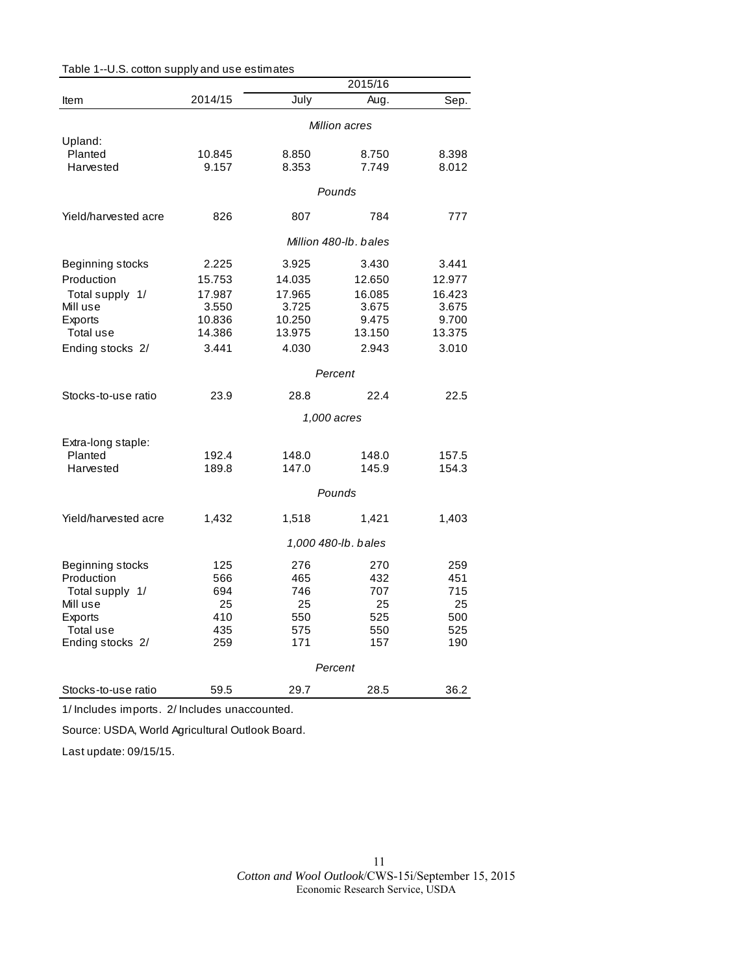|                      |                       |        | 2015/16     |        |  |
|----------------------|-----------------------|--------|-------------|--------|--|
| Item                 | 2014/15               | July   | Aug.        | Sep.   |  |
|                      | Million acres         |        |             |        |  |
| Upland:              |                       |        |             |        |  |
| Planted              | 10.845                | 8.850  | 8.750       | 8.398  |  |
| Harvested            | 9.157                 | 8.353  | 7.749       | 8.012  |  |
|                      |                       |        | Pounds      |        |  |
| Yield/harvested acre | 826                   | 807    | 784         | 777    |  |
|                      | Million 480-lb, bales |        |             |        |  |
| Beginning stocks     | 2.225                 | 3.925  | 3.430       | 3.441  |  |
| Production           | 15.753                | 14.035 | 12.650      | 12.977 |  |
| Total supply 1/      | 17.987                | 17.965 | 16.085      | 16.423 |  |
| Mill use             | 3.550                 | 3.725  | 3.675       | 3.675  |  |
| Exports              | 10.836                | 10.250 | 9.475       | 9.700  |  |
| Total use            | 14.386                | 13.975 | 13.150      | 13.375 |  |
| Ending stocks 2/     | 3.441                 | 4.030  | 2.943       | 3.010  |  |
|                      |                       |        | Percent     |        |  |
| Stocks-to-use ratio  | 23.9                  | 28.8   | 22.4        | 22.5   |  |
|                      |                       |        | 1,000 acres |        |  |
| Extra-long staple:   |                       |        |             |        |  |
| Planted              | 192.4                 | 148.0  | 148.0       | 157.5  |  |
| Harvested            | 189.8                 | 147.0  | 145.9       | 154.3  |  |
|                      |                       |        | Pounds      |        |  |
| Yield/harvested acre | 1,432                 | 1,518  | 1,421       | 1,403  |  |
|                      | 1,000 480-lb. bales   |        |             |        |  |
| Beginning stocks     | 125                   | 276    | 270         | 259    |  |
| Production           | 566                   | 465    | 432         | 451    |  |
| Total supply 1/      | 694                   | 746    | 707         | 715    |  |
| Mill use             | 25                    | 25     | 25          | 25     |  |
| Exports              | 410                   | 550    | 525         | 500    |  |
| Total use            | 435                   | 575    | 550         | 525    |  |
| Ending stocks 2/     | 259                   | 171    | 157         | 190    |  |
|                      |                       |        | Percent     |        |  |
| Stocks-to-use ratio  | 59.5                  | 29.7   | 28.5        | 36.2   |  |

Table 1--U.S. cotton supply and use estimates

1/ Includes imports. 2/ Includes unaccounted.

Source: USDA, World Agricultural Outlook Board.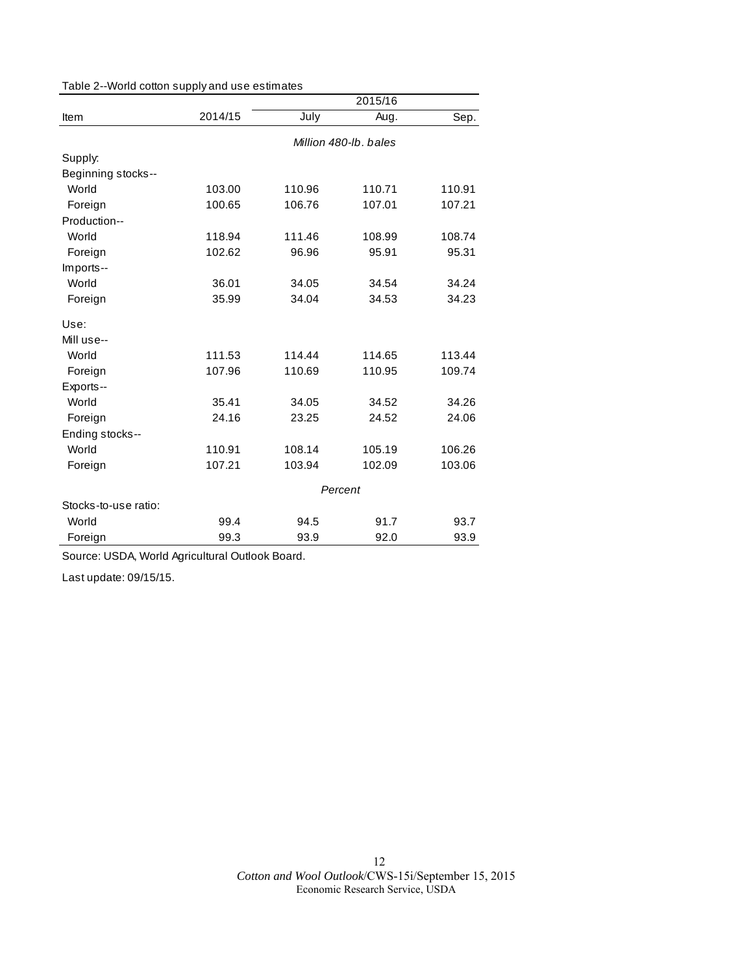|                      | 2015/16               |        |        |        |  |
|----------------------|-----------------------|--------|--------|--------|--|
| Item                 | 2014/15               | July   | Aug.   | Sep.   |  |
|                      | Million 480-lb, bales |        |        |        |  |
| Supply:              |                       |        |        |        |  |
| Beginning stocks--   |                       |        |        |        |  |
| World                | 103.00                | 110.96 | 110.71 | 110.91 |  |
| Foreign              | 100.65                | 106.76 | 107.01 | 107.21 |  |
| Production--         |                       |        |        |        |  |
| World                | 118.94                | 111.46 | 108.99 | 108.74 |  |
| Foreign              | 102.62                | 96.96  | 95.91  | 95.31  |  |
| Imports--            |                       |        |        |        |  |
| World                | 36.01                 | 34.05  | 34.54  | 34.24  |  |
| Foreign              | 35.99                 | 34.04  | 34.53  | 34.23  |  |
| Use:                 |                       |        |        |        |  |
| Mill use--           |                       |        |        |        |  |
| World                | 111.53                | 114.44 | 114.65 | 113.44 |  |
| Foreign              | 107.96                | 110.69 | 110.95 | 109.74 |  |
| Exports--            |                       |        |        |        |  |
| World                | 35.41                 | 34.05  | 34.52  | 34.26  |  |
| Foreign              | 24.16                 | 23.25  | 24.52  | 24.06  |  |
| Ending stocks--      |                       |        |        |        |  |
| World                | 110.91                | 108.14 | 105.19 | 106.26 |  |
| Foreign              | 107.21                | 103.94 | 102.09 | 103.06 |  |
|                      | Percent               |        |        |        |  |
| Stocks-to-use ratio: |                       |        |        |        |  |
| World                | 99.4                  | 94.5   | 91.7   | 93.7   |  |
| Foreign              | 99.3                  | 93.9   | 92.0   | 93.9   |  |

Source: USDA, World Agricultural Outlook Board.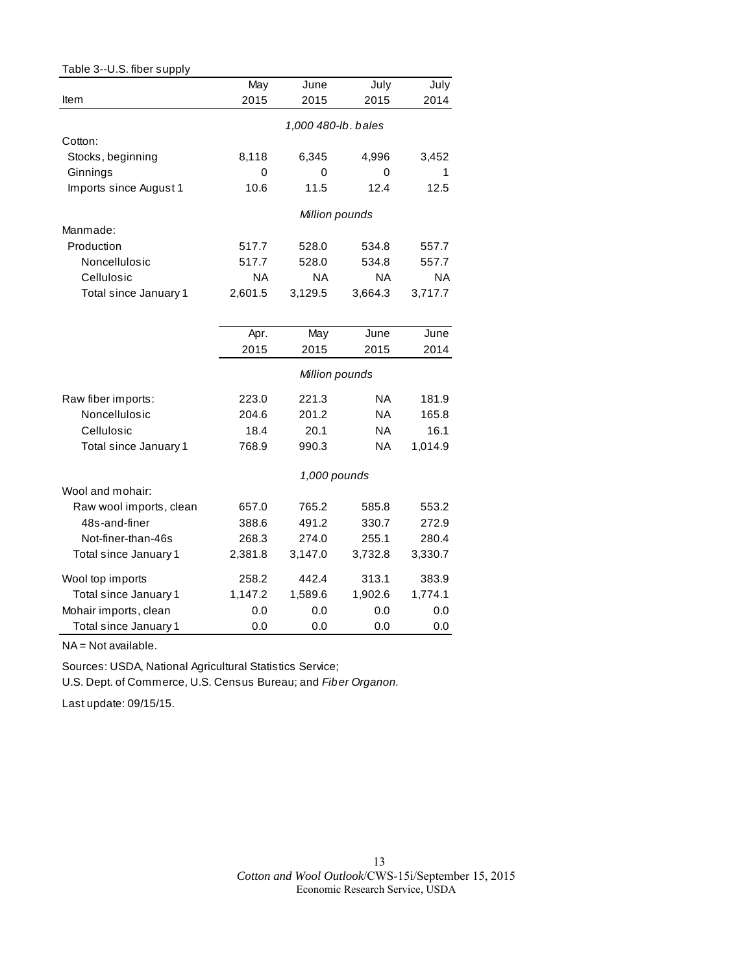| Table 3--U.S. fiber supply |           |                     |           |           |  |  |  |
|----------------------------|-----------|---------------------|-----------|-----------|--|--|--|
|                            | May       | June                | July      | July      |  |  |  |
| Item                       | 2015      | 2015                | 2015      | 2014      |  |  |  |
|                            |           |                     |           |           |  |  |  |
| Cotton:                    |           | 1,000 480-lb. bales |           |           |  |  |  |
| Stocks, beginning          | 8,118     | 6,345               | 4,996     | 3,452     |  |  |  |
| Ginnings                   | 0         | 0                   | 0         | 1         |  |  |  |
| Imports since August 1     | 10.6      | 11.5                | 12.4      | 12.5      |  |  |  |
|                            |           | Million pounds      |           |           |  |  |  |
| Manmade:                   |           |                     |           |           |  |  |  |
| Production                 | 517.7     | 528.0               | 534.8     | 557.7     |  |  |  |
| Noncellulosic              | 517.7     | 528.0               | 534.8     | 557.7     |  |  |  |
| Cellulosic                 | <b>NA</b> | ΝA                  | ΝA        | <b>NA</b> |  |  |  |
| Total since January 1      | 2,601.5   | 3,129.5             | 3,664.3   | 3,717.7   |  |  |  |
|                            |           |                     |           |           |  |  |  |
|                            | Apr.      | May                 | June      | June      |  |  |  |
|                            | 2015      | 2015                | 2015      | 2014      |  |  |  |
|                            |           | Million pounds      |           |           |  |  |  |
| Raw fiber imports:         | 223.0     | 221.3               | <b>NA</b> | 181.9     |  |  |  |
| Noncellulosic              | 204.6     | 201.2               | <b>NA</b> | 165.8     |  |  |  |
| Cellulosic                 | 18.4      | 20.1                | ΝA        | 16.1      |  |  |  |
| Total since January 1      | 768.9     | 990.3               | ΝA        | 1,014.9   |  |  |  |
|                            |           | 1,000 pounds        |           |           |  |  |  |
| Wool and mohair:           |           |                     |           |           |  |  |  |
| Raw wool imports, clean    | 657.0     | 765.2               | 585.8     | 553.2     |  |  |  |
| 48s-and-finer              | 388.6     | 491.2               | 330.7     | 272.9     |  |  |  |
| Not-finer-than-46s         | 268.3     | 274.0               | 255.1     | 280.4     |  |  |  |
| Total since January 1      | 2,381.8   | 3,147.0             | 3,732.8   | 3,330.7   |  |  |  |
| Wool top imports           | 258.2     | 442.4               | 313.1     | 383.9     |  |  |  |
| Total since January 1      | 1,147.2   | 1,589.6             | 1,902.6   | 1,774.1   |  |  |  |
| Mohair imports, clean      | 0.0       | 0.0                 | 0.0       | 0.0       |  |  |  |
| Total since January 1      | 0.0       | 0.0                 | 0.0       | 0.0       |  |  |  |

NA = Not available.

Sources: USDA, National Agricultural Statistics Service;

U.S. Dept. of Commerce, U.S. Census Bureau; and *Fiber Organon.*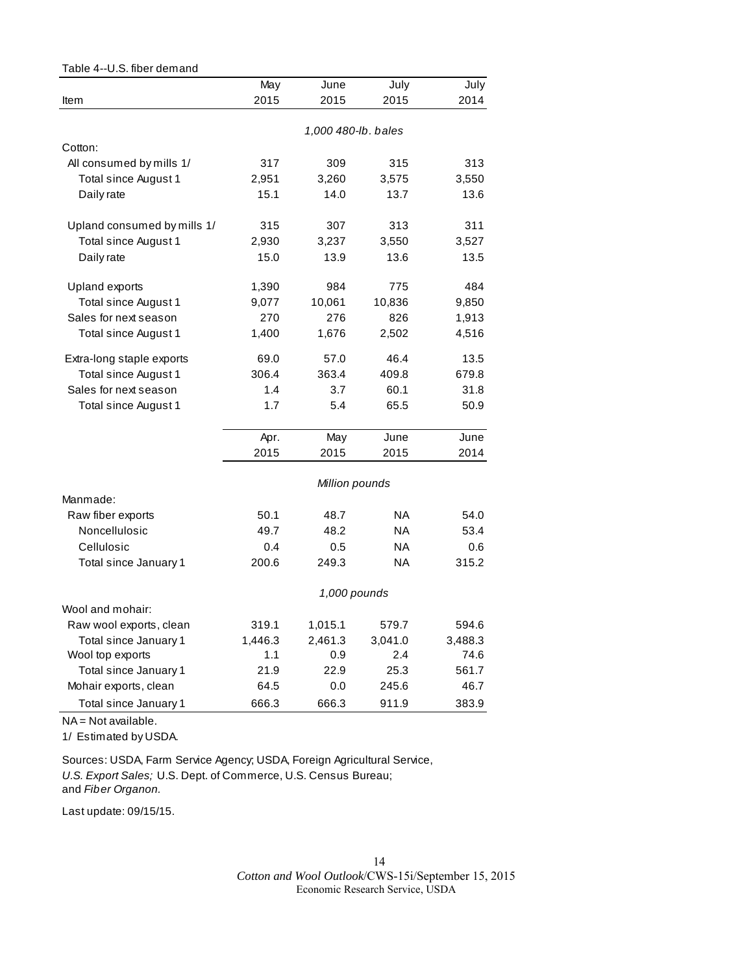| Table 4--U.S. fiber demand  |         |                     |           |         |
|-----------------------------|---------|---------------------|-----------|---------|
|                             | May     | June                | July      | July    |
| Item                        | 2015    | 2015                | 2015      | 2014    |
|                             |         |                     |           |         |
|                             |         | 1,000 480-lb. bales |           |         |
| Cotton:                     |         |                     |           |         |
| All consumed by mills 1/    | 317     | 309                 | 315       | 313     |
| Total since August 1        | 2,951   | 3,260               | 3,575     | 3,550   |
| Daily rate                  | 15.1    | 14.0                | 13.7      | 13.6    |
| Upland consumed by mills 1/ | 315     | 307                 | 313       | 311     |
| Total since August 1        | 2,930   | 3,237               | 3,550     | 3,527   |
| Daily rate                  | 15.0    | 13.9                | 13.6      | 13.5    |
| Upland exports              | 1,390   | 984                 | 775       | 484     |
| Total since August 1        | 9,077   | 10,061              | 10,836    | 9,850   |
| Sales for next season       | 270     | 276                 | 826       | 1,913   |
| Total since August 1        | 1,400   | 1,676               | 2,502     | 4,516   |
| Extra-long staple exports   | 69.0    | 57.0                | 46.4      | 13.5    |
| Total since August 1        | 306.4   | 363.4               | 409.8     | 679.8   |
| Sales for next season       | 1.4     | 3.7                 | 60.1      | 31.8    |
| Total since August 1        | 1.7     | 5.4                 | 65.5      | 50.9    |
|                             |         |                     |           |         |
|                             | Apr.    | May                 | June      | June    |
|                             | 2015    | 2015                | 2015      | 2014    |
|                             |         | Million pounds      |           |         |
| Manmade:                    |         |                     |           |         |
| Raw fiber exports           | 50.1    | 48.7                | <b>NA</b> | 54.0    |
| Noncellulosic               | 49.7    | 48.2                | <b>NA</b> | 53.4    |
| Cellulosic                  | 0.4     | 0.5                 | <b>NA</b> | 0.6     |
| Total since January 1       | 200.6   | 249.3               | <b>NA</b> | 315.2   |
|                             |         | 1,000 pounds        |           |         |
| Wool and mohair:            |         |                     |           |         |
| Raw wool exports, clean     | 319.1   | 1,015.1             | 579.7     | 594.6   |
| Total since January 1       | 1,446.3 | 2,461.3             | 3,041.0   | 3,488.3 |
| Wool top exports            | 1.1     | 0.9                 | 2.4       | 74.6    |
| Total since January 1       | 21.9    | 22.9                | 25.3      | 561.7   |
| Mohair exports, clean       | 64.5    | 0.0                 | 245.6     | 46.7    |
| Total since January 1       | 666.3   | 666.3               | 911.9     | 383.9   |

NA = Not available.

1/ Estimated by USDA.

Sources: USDA, Farm Service Agency; USDA, Foreign Agricultural Service, *U.S. Export Sales;* U.S. Dept. of Commerce, U.S. Census Bureau; and *Fiber Organon.*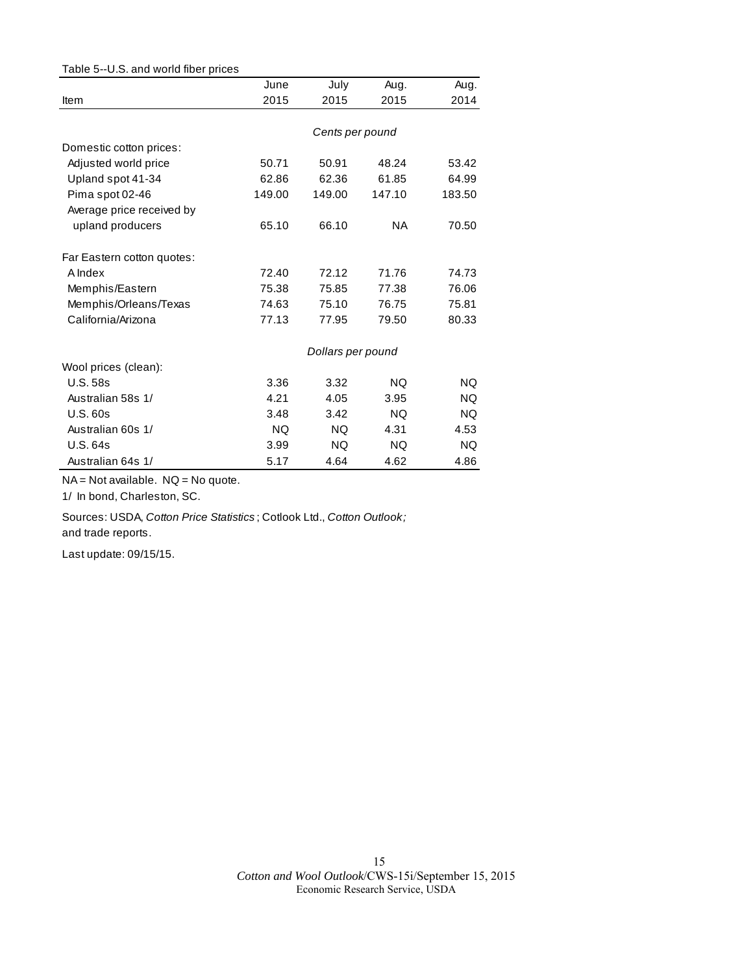| Table 5--U.S. and world fiber prices |        |                   |           |           |
|--------------------------------------|--------|-------------------|-----------|-----------|
|                                      | June   | July              | Aug.      | Aug.      |
| Item                                 | 2015   | 2015              | 2015      | 2014      |
|                                      |        |                   |           |           |
|                                      |        | Cents per pound   |           |           |
| Domestic cotton prices:              |        |                   |           |           |
| Adjusted world price                 | 50.71  | 50.91             | 48.24     | 53.42     |
| Upland spot 41-34                    | 62.86  | 62.36             | 61.85     | 64.99     |
| Pima spot 02-46                      | 149.00 | 149.00            | 147.10    | 183.50    |
| Average price received by            |        |                   |           |           |
| upland producers                     | 65.10  | 66.10             | <b>NA</b> | 70.50     |
| Far Eastern cotton quotes:           |        |                   |           |           |
| A Index                              | 72.40  | 72.12             | 71.76     | 74.73     |
| Memphis/Eastern                      | 75.38  | 75.85             | 77.38     | 76.06     |
| Memphis/Orleans/Texas                | 74.63  | 75.10             | 76.75     | 75.81     |
| California/Arizona                   | 77.13  | 77.95             | 79.50     | 80.33     |
|                                      |        | Dollars per pound |           |           |
| Wool prices (clean):                 |        |                   |           |           |
| <b>U.S. 58s</b>                      | 3.36   | 3.32              | NQ.       | NQ.       |
| Australian 58s 1/                    | 4.21   | 4.05              | 3.95      | NQ.       |
| U.S.60s                              | 3.48   | 3.42              | <b>NQ</b> | NQ.       |
| Australian 60s 1/                    | NQ.    | NQ.               | 4.31      | 4.53      |
| <b>U.S. 64s</b>                      | 3.99   | NQ                | NQ.       | <b>NQ</b> |
| Australian 64s 1/                    | 5.17   | 4.64              | 4.62      | 4.86      |

NA = Not available. NQ = No quote.

1/ In bond, Charleston, SC.

Sources: USDA, *Cotton Price Statistics* ; Cotlook Ltd., *Cotton Outlook;*  and trade reports.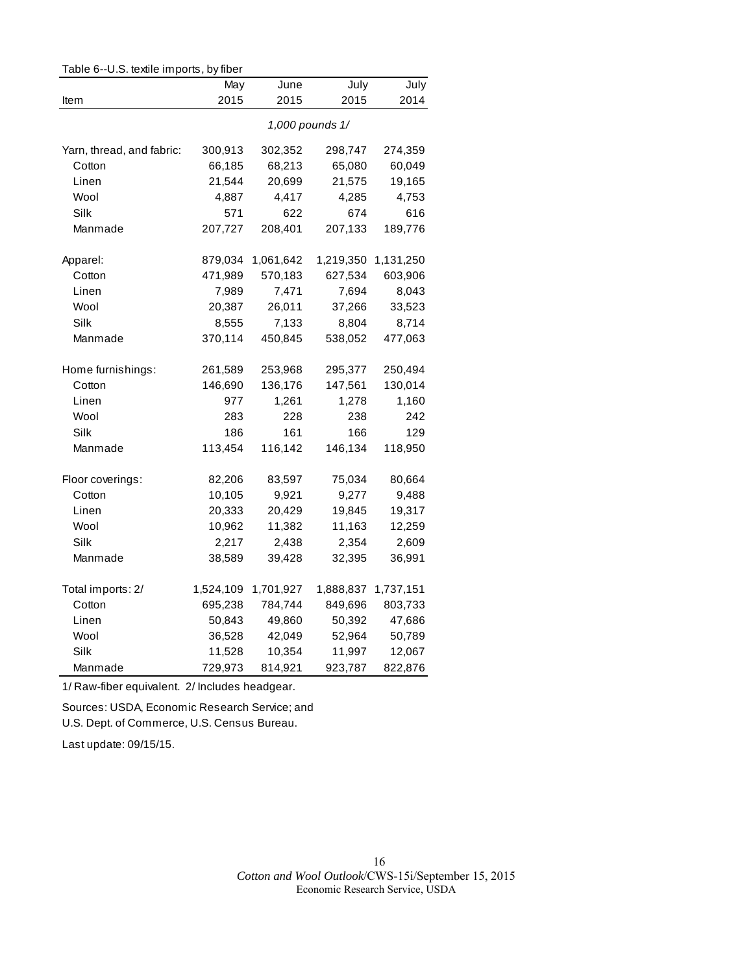| Table 6--U.S. textile imports, by fiber |           |           |                 |           |  |  |
|-----------------------------------------|-----------|-----------|-----------------|-----------|--|--|
|                                         | May       | June      | July            | July      |  |  |
| Item                                    | 2015      | 2015      | 2015            | 2014      |  |  |
|                                         |           |           | 1,000 pounds 1/ |           |  |  |
| Yarn, thread, and fabric:               | 300,913   | 302,352   | 298,747         | 274,359   |  |  |
| Cotton                                  | 66,185    | 68,213    | 65,080          | 60,049    |  |  |
| Linen                                   | 21,544    | 20,699    | 21,575          | 19,165    |  |  |
| Wool                                    | 4,887     | 4,417     | 4,285           | 4,753     |  |  |
| Silk                                    | 571       | 622       | 674             | 616       |  |  |
| Manmade                                 | 207,727   | 208,401   | 207,133         | 189,776   |  |  |
| Apparel:                                | 879,034   | 1,061,642 | 1,219,350       | 1,131,250 |  |  |
| Cotton                                  | 471,989   | 570,183   | 627,534         | 603,906   |  |  |
| Linen                                   | 7,989     | 7,471     | 7,694           | 8,043     |  |  |
| Wool                                    | 20,387    | 26,011    | 37,266          | 33,523    |  |  |
| Silk                                    | 8,555     | 7,133     | 8,804           | 8,714     |  |  |
| Manmade                                 | 370,114   | 450,845   | 538,052         | 477,063   |  |  |
| Home furnishings:                       | 261,589   | 253,968   | 295,377         | 250,494   |  |  |
| Cotton                                  | 146,690   | 136,176   | 147,561         | 130,014   |  |  |
| Linen                                   | 977       | 1,261     | 1,278           | 1,160     |  |  |
| Wool                                    | 283       | 228       | 238             | 242       |  |  |
| Silk                                    | 186       | 161       | 166             | 129       |  |  |
| Manmade                                 | 113,454   | 116,142   | 146,134         | 118,950   |  |  |
| Floor coverings:                        | 82,206    | 83,597    | 75,034          | 80,664    |  |  |
| Cotton                                  | 10,105    | 9,921     | 9,277           | 9,488     |  |  |
| Linen                                   | 20,333    | 20,429    | 19,845          | 19,317    |  |  |
| Wool                                    | 10,962    | 11,382    | 11,163          | 12,259    |  |  |
| Silk                                    | 2,217     | 2,438     | 2,354           | 2,609     |  |  |
| Manmade                                 | 38,589    | 39,428    | 32,395          | 36,991    |  |  |
| Total imports: 2/                       | 1,524,109 | 1,701,927 | 1,888,837       | 1,737,151 |  |  |
| Cotton                                  | 695,238   | 784,744   | 849,696         | 803,733   |  |  |
| Linen                                   | 50,843    | 49,860    | 50,392          | 47,686    |  |  |
| Wool                                    | 36,528    | 42,049    | 52,964          | 50,789    |  |  |
| Silk                                    | 11,528    | 10,354    | 11,997          | 12,067    |  |  |
| Manmade                                 | 729,973   | 814,921   | 923,787         | 822,876   |  |  |

1/ Raw-fiber equivalent. 2/ Includes headgear.

Sources: USDA, Economic Research Service; and

U.S. Dept. of Commerce, U.S. Census Bureau.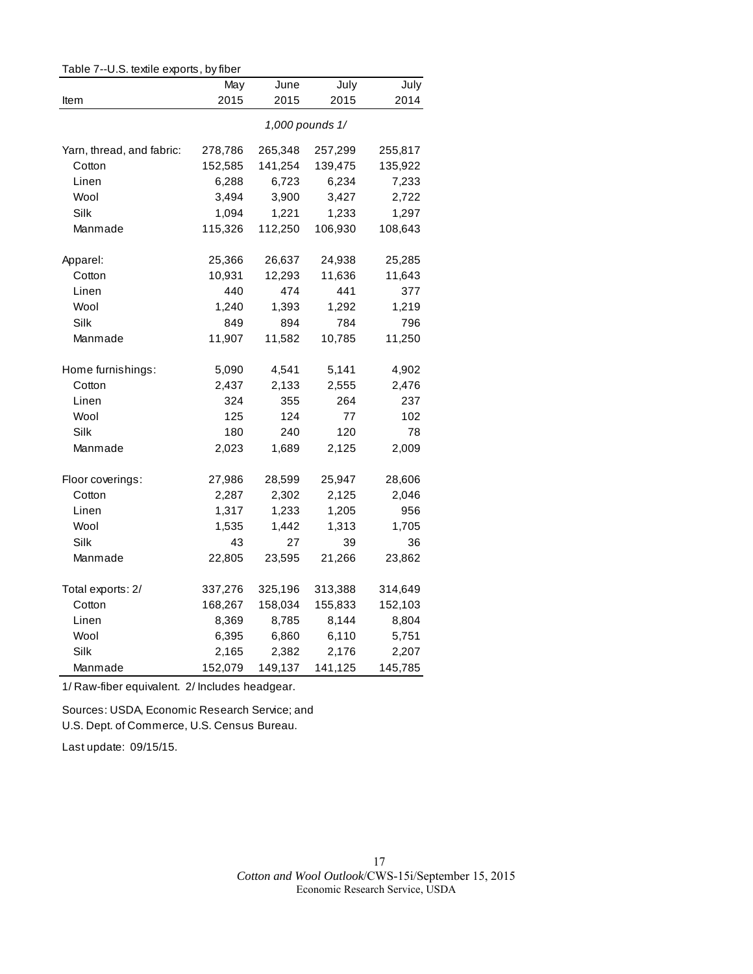| rable 7--0.5. textile exports, by liber |             |              |                 |              |  |  |
|-----------------------------------------|-------------|--------------|-----------------|--------------|--|--|
|                                         | May<br>2015 | June<br>2015 | July<br>2015    | July<br>2014 |  |  |
| Item                                    |             |              |                 |              |  |  |
|                                         |             |              | 1,000 pounds 1/ |              |  |  |
| Yarn, thread, and fabric:               | 278,786     | 265,348      | 257,299         | 255,817      |  |  |
| Cotton                                  | 152,585     | 141,254      | 139,475         | 135,922      |  |  |
| Linen                                   | 6,288       | 6,723        | 6,234           | 7,233        |  |  |
| Wool                                    | 3,494       | 3,900        | 3,427           | 2,722        |  |  |
| Silk                                    | 1,094       | 1,221        | 1,233           | 1,297        |  |  |
| Manmade                                 | 115,326     | 112,250      | 106,930         | 108,643      |  |  |
| Apparel:                                | 25,366      | 26,637       | 24,938          | 25,285       |  |  |
| Cotton                                  | 10,931      | 12,293       | 11,636          | 11,643       |  |  |
| Linen                                   | 440         | 474          | 441             | 377          |  |  |
| Wool                                    | 1,240       | 1,393        | 1,292           | 1,219        |  |  |
| Silk                                    | 849         | 894          | 784             | 796          |  |  |
| Manmade                                 | 11,907      | 11,582       | 10,785          | 11,250       |  |  |
| Home furnishings:                       | 5,090       | 4,541        | 5,141           | 4,902        |  |  |
| Cotton                                  | 2,437       | 2,133        | 2,555           | 2,476        |  |  |
| Linen                                   | 324         | 355          | 264             | 237          |  |  |
| Wool                                    | 125         | 124          | 77              | 102          |  |  |
| Silk                                    | 180         | 240          | 120             | 78           |  |  |
| Manmade                                 | 2,023       | 1,689        | 2,125           | 2,009        |  |  |
| Floor coverings:                        | 27,986      | 28,599       | 25,947          | 28,606       |  |  |
| Cotton                                  | 2,287       | 2,302        | 2,125           | 2,046        |  |  |
| Linen                                   | 1,317       | 1,233        | 1,205           | 956          |  |  |
| Wool                                    | 1,535       | 1,442        | 1,313           | 1,705        |  |  |
| Silk                                    | 43          | 27           | 39              | 36           |  |  |
| Manmade                                 | 22,805      | 23,595       | 21,266          | 23,862       |  |  |
| Total exports: 2/                       | 337,276     | 325,196      | 313,388         | 314,649      |  |  |
| Cotton                                  | 168,267     | 158,034      | 155,833         | 152,103      |  |  |
| Linen                                   | 8,369       | 8,785        | 8,144           | 8,804        |  |  |
| Wool                                    | 6,395       | 6,860        | 6,110           | 5,751        |  |  |
| Silk                                    | 2,165       | 2,382        | 2,176           | 2,207        |  |  |
| Manmade                                 | 152,079     | 149,137      | 141,125         | 145,785      |  |  |

Table 7--U.S. textile exports, by fiber

1/ Raw-fiber equivalent. 2/ Includes headgear.

Sources: USDA, Economic Research Service; and U.S. Dept. of Commerce, U.S. Census Bureau.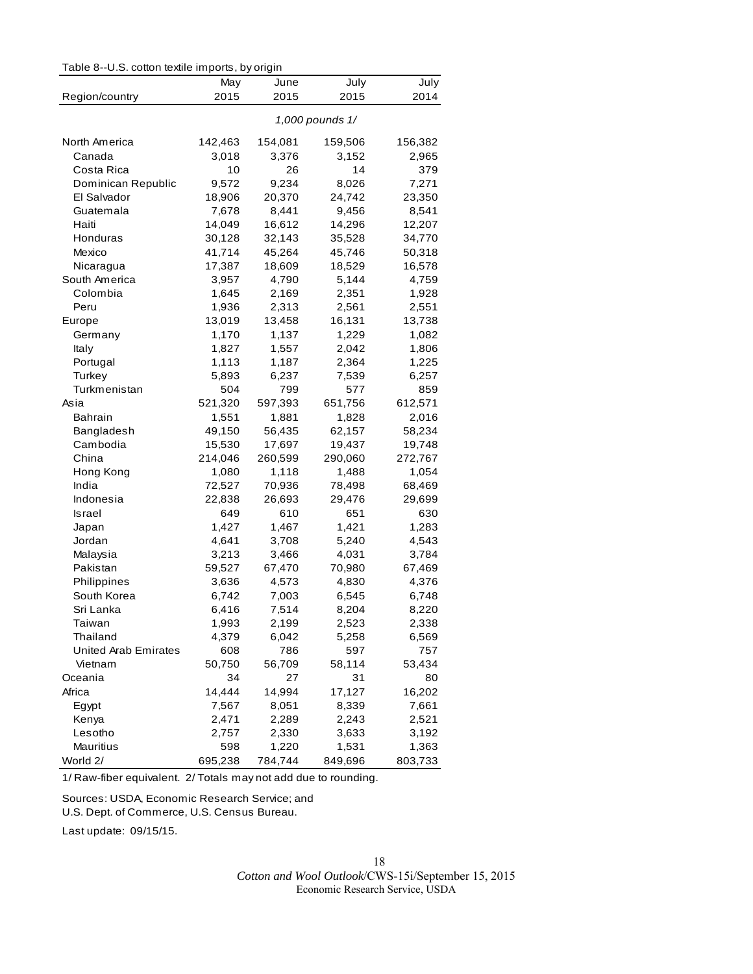| Table 8--U.S. cotton textile imports, by origin |  |  |  |  |  |
|-------------------------------------------------|--|--|--|--|--|
|-------------------------------------------------|--|--|--|--|--|

|                             | May            | June           | July            | July           |
|-----------------------------|----------------|----------------|-----------------|----------------|
| Region/country              | 2015           | 2015           | 2015            | 2014           |
|                             |                |                | 1,000 pounds 1/ |                |
| North America               | 142,463        | 154,081        | 159,506         | 156,382        |
| Canada                      | 3,018          | 3,376          | 3,152           | 2,965          |
| Costa Rica                  | 10             | 26             | 14              | 379            |
| Dominican Republic          | 9,572          | 9,234          | 8,026           | 7,271          |
| El Salvador                 | 18,906         | 20,370         | 24,742          | 23,350         |
| Guatemala                   | 7,678          | 8,441          | 9,456           | 8,541          |
| Haiti                       | 14,049         | 16,612         | 14,296          | 12,207         |
| Honduras                    | 30,128         | 32,143         | 35,528          | 34,770         |
| Mexico                      | 41,714         | 45,264         | 45,746          | 50,318         |
| Nicaragua                   | 17,387         | 18,609         | 18,529          | 16,578         |
| South America               | 3,957          | 4,790          | 5,144           | 4,759          |
| Colombia                    | 1,645          | 2,169          | 2,351           | 1,928          |
| Peru                        | 1,936          | 2,313          | 2,561           | 2,551          |
| Europe                      | 13,019         | 13,458         | 16,131          | 13,738         |
| Germany                     | 1,170          | 1,137          | 1,229           | 1,082          |
| Italy                       | 1,827          | 1,557          | 2,042           | 1,806          |
| Portugal                    | 1,113          | 1,187          | 2,364           | 1,225          |
| Turkey                      | 5,893          | 6,237          | 7,539           | 6,257          |
| Turkmenistan                | 504            | 799            | 577             | 859            |
| Asia                        | 521,320        | 597,393        | 651,756         | 612,571        |
| <b>Bahrain</b>              | 1,551          | 1,881          | 1,828           | 2,016          |
| Bangladesh                  | 49,150         | 56,435         | 62,157          | 58,234         |
| Cambodia                    | 15,530         | 17,697         | 19,437          | 19,748         |
| China                       | 214,046        | 260,599        | 290,060         | 272,767        |
| Hong Kong                   | 1,080          | 1,118          | 1,488           | 1,054          |
| India                       | 72,527         | 70,936         | 78,498          | 68,469         |
| Indonesia                   | 22,838         | 26,693         | 29,476          | 29,699         |
| Israel                      | 649            | 610            | 651             | 630            |
|                             | 1,427          |                | 1,421           |                |
| Japan<br>Jordan             | 4,641          | 1,467<br>3,708 |                 | 1,283          |
| Malaysia                    | 3,213          | 3,466          | 5,240           | 4,543<br>3,784 |
| Pakistan                    |                |                | 4,031           |                |
| Philippines                 | 59,527         | 67,470         | 70,980<br>4,830 | 67,469         |
| South Korea                 | 3,636<br>6,742 | 4,573          | 6,545           | 4,376<br>6,748 |
|                             |                | 7,003          |                 |                |
| Sri Lanka                   | 6,416          | 7,514          | 8,204           | 8,220<br>2,338 |
| Taiwan                      | 1,993          | 2,199          | 2,523           |                |
| Thailand                    | 4,379          | 6,042          | 5,258<br>597    | 6,569          |
| <b>United Arab Emirates</b> | 608            | 786            |                 | 757            |
| Vietnam<br>Oceania          | 50,750<br>34   | 56,709<br>27   | 58,114<br>31    | 53,434<br>80   |
|                             |                |                |                 |                |
| Africa                      | 14,444         | 14,994         | 17,127          | 16,202         |
| Egypt                       | 7,567          | 8,051          | 8,339           | 7,661          |
| Kenya                       | 2,471          | 2,289          | 2,243           | 2,521          |
| Lesotho                     | 2,757          | 2,330          | 3,633           | 3,192          |
| Mauritius                   | 598            | 1,220          | 1,531           | 1,363          |
| World 2/                    | 695,238        | 784,744        | 849,696         | 803,733        |

1/ Raw-fiber equivalent. 2/ Totals may not add due to rounding.

Sources: USDA, Economic Research Service; and U.S. Dept. of Commerce, U.S. Census Bureau.

Last update: 09/15/15.

*Cotton and Wool Outlook*/CWS-15i/September 15, 2015 Economic Research Service, USDA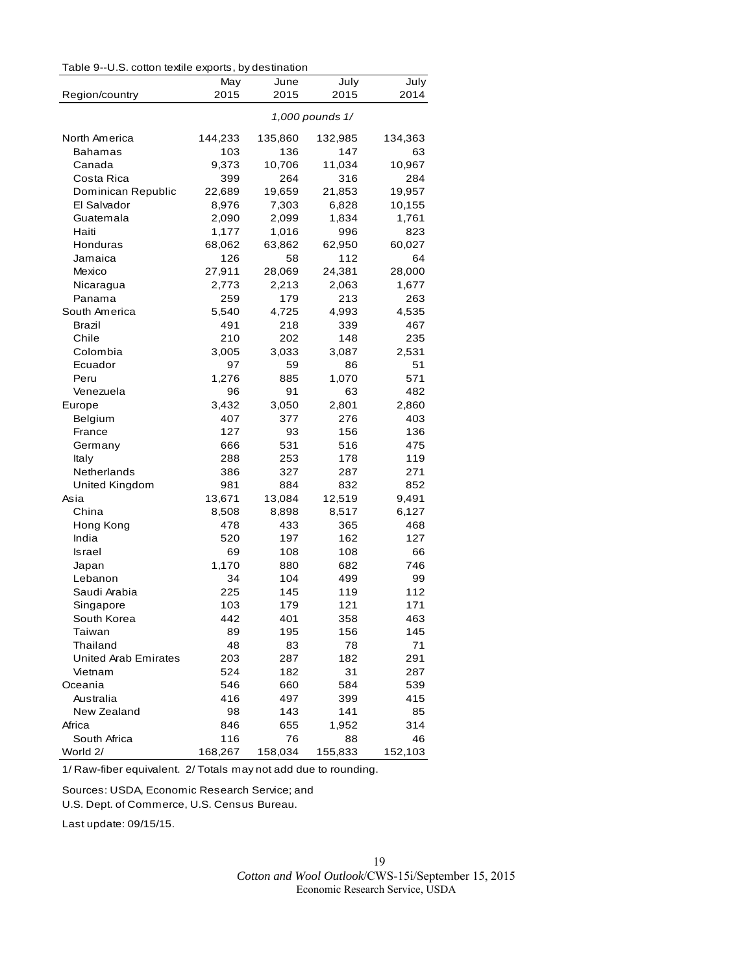|  | Table 9--U.S. cotton textile exports, by destination |  |  |
|--|------------------------------------------------------|--|--|
|--|------------------------------------------------------|--|--|

|                      | May             | June    | July    | July    |  |
|----------------------|-----------------|---------|---------|---------|--|
| Region/country       | 2015            | 2015    | 2015    | 2014    |  |
|                      | 1,000 pounds 1/ |         |         |         |  |
| North America        | 144,233         | 135,860 | 132,985 | 134,363 |  |
| Bahamas              | 103             | 136     | 147     | 63      |  |
| Canada               | 9,373           | 10,706  | 11,034  | 10,967  |  |
| Costa Rica           | 399             | 264     | 316     | 284     |  |
| Dominican Republic   | 22,689          | 19,659  | 21,853  | 19,957  |  |
| El Salvador          | 8,976           | 7,303   | 6,828   | 10,155  |  |
| Guatemala            | 2,090           | 2,099   | 1,834   | 1,761   |  |
| Haiti                | 1,177           | 1,016   | 996     | 823     |  |
| Honduras             | 68,062          | 63,862  | 62,950  | 60,027  |  |
| Jamaica              | 126             | 58      | 112     | 64      |  |
| Mexico               | 27,911          | 28,069  | 24,381  | 28,000  |  |
| Nicaragua            | 2,773           | 2,213   | 2,063   | 1,677   |  |
| Panama               | 259             | 179     | 213     | 263     |  |
| South America        | 5,540           | 4,725   | 4,993   | 4,535   |  |
| Brazil               | 491             | 218     | 339     | 467     |  |
| Chile                | 210             | 202     | 148     | 235     |  |
| Colombia             | 3,005           | 3,033   | 3,087   | 2,531   |  |
| Ecuador              | 97              | 59      | 86      | 51      |  |
| Peru                 | 1,276           | 885     | 1,070   | 571     |  |
| Venezuela            | 96              | 91      | 63      | 482     |  |
| Europe               | 3,432           | 3,050   | 2,801   | 2,860   |  |
| Belgium              | 407             | 377     | 276     | 403     |  |
| France               | 127             | 93      | 156     | 136     |  |
| Germany              | 666             | 531     | 516     | 475     |  |
| Italy                | 288             | 253     | 178     | 119     |  |
| Netherlands          | 386             | 327     | 287     | 271     |  |
| United Kingdom       | 981             | 884     | 832     | 852     |  |
| Asia                 | 13,671          | 13,084  | 12,519  | 9,491   |  |
| China                | 8,508           | 8,898   | 8,517   | 6,127   |  |
| Hong Kong            | 478             | 433     | 365     | 468     |  |
| India                | 520             | 197     | 162     | 127     |  |
| Israel               | 69              | 108     | 108     | 66      |  |
| Japan                | 1,170           | 880     | 682     | 746     |  |
| Lebanon              | 34              | 104     | 499     | 99      |  |
| Saudi Arabia         | 225             | 145     | 119     | 112     |  |
| Singapore            | 103             | 179     | 121     | 171     |  |
| South Korea          | 442             | 401     | 358     | 463     |  |
| Taiwan               | 89              | 195     | 156     | 145     |  |
| Thailand             | 48              | 83      | 78      | 71      |  |
| United Arab Emirates | 203             | 287     | 182     | 291     |  |
| Vietnam              | 524             | 182     | 31      | 287     |  |
| Oceania              | 546             | 660     | 584     | 539     |  |
| Australia            | 416             | 497     | 399     | 415     |  |
| New Zealand          | 98              | 143     | 141     | 85      |  |
| Africa               | 846             | 655     | 1,952   | 314     |  |
| South Africa         | 116             | 76      | 88      | 46      |  |
| World 2/             | 168,267         | 158,034 | 155,833 | 152,103 |  |

1/ Raw-fiber equivalent. 2/ Totals may not add due to rounding.

Sources: USDA, Economic Research Service; and

U.S. Dept. of Commerce, U.S. Census Bureau.